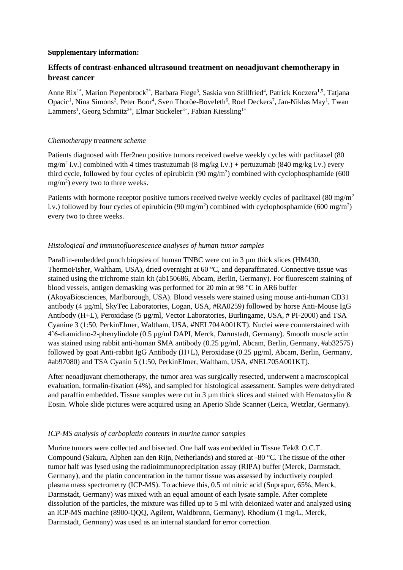#### **Supplementary information:**

## **Effects of contrast-enhanced ultrasound treatment on neoadjuvant chemotherapy in breast cancer**

Anne Rix<sup>1\*</sup>, Marion Piepenbrock<sup>2\*</sup>, Barbara Flege<sup>3</sup>, Saskia von Stillfried<sup>4</sup>, Patrick Koczera<sup>1,5</sup>, Tatjana Opacic<sup>1</sup>, Nina Simons<sup>2</sup>, Peter Boor<sup>4</sup>, Sven Thoröe-Boveleth<sup>6</sup>, Roel Deckers<sup>7</sup>, Jan-Niklas May<sup>1</sup>, Twan Lammers<sup>1</sup>, Georg Schmitz<sup>2+</sup>, Elmar Stickeler<sup>3+</sup>, Fabian Kiessling<sup>1+</sup>

#### *Chemotherapy treatment scheme*

Patients diagnosed with Her2neu positive tumors received twelve weekly cycles with paclitaxel (80 mg/m<sup>2</sup> i.v.) combined with 4 times trastuzumab (8 mg/kg i.v.) + pertuzumab (840 mg/kg i.v.) every third cycle, followed by four cycles of epirubicin (90 mg/m<sup>2</sup> ) combined with cyclophosphamide (600  $mg/m<sup>2</sup>$ ) every two to three weeks.

Patients with hormone receptor positive tumors received twelve weekly cycles of paclitaxel (80 mg/m<sup>2</sup>) i.v.) followed by four cycles of epirubicin (90 mg/m<sup>2</sup>) combined with cyclophosphamide (600 mg/m<sup>2</sup>) every two to three weeks.

## *Histological and immunofluorescence analyses of human tumor samples*

Paraffin-embedded punch biopsies of human TNBC were cut in 3 µm thick slices (HM430, ThermoFisher, Waltham, USA), dried overnight at 60 °C, and deparaffinated. Connective tissue was stained using the trichrome stain kit (ab150686, Abcam, Berlin, Germany). For fluorescent staining of blood vessels, antigen demasking was performed for 20 min at 98 °C in AR6 buffer (AkoyaBiosciences, Marlborough, USA). Blood vessels were stained using mouse anti-human CD31 antibody (4 µg/ml, SkyTec Laboratories, Logan, USA, #RA0259) followed by horse Anti-Mouse IgG Antibody (H+L), Peroxidase (5 µg/ml, Vector Laboratories, Burlingame, USA, # PI-2000) and TSA Cyanine 3 (1:50, PerkinElmer, Waltham, USA, #NEL704A001KT). Nuclei were counterstained with 4'6-diamidino-2-phenylindole (0.5 µg/ml DAPI, Merck, Darmstadt, Germany). Smooth muscle actin was stained using rabbit anti-human SMA antibody (0.25 µg/ml, Abcam, Berlin, Germany, #ab32575) followed by goat Anti-rabbit IgG Antibody (H+L), Peroxidase (0.25 µg/ml, Abcam, Berlin, Germany, #ab97080) and TSA Cyanin 5 (1:50, PerkinElmer, Waltham, USA, #NEL705A001KT).

After neoadjuvant chemotherapy, the tumor area was surgically resected, underwent a macroscopical evaluation, formalin-fixation (4%), and sampled for histological assessment. Samples were dehydrated and paraffin embedded. Tissue samples were cut in 3  $\mu$ m thick slices and stained with Hematoxylin & Eosin. Whole slide pictures were acquired using an Aperio Slide Scanner (Leica, Wetzlar, Germany).

#### *ICP-MS analysis of carboplatin contents in murine tumor samples*

Murine tumors were collected and bisected. One half was embedded in Tissue Tek® O.C.T. Compound (Sakura, Alphen aan den Rijn, Netherlands) and stored at -80 °C. The tissue of the other tumor half was lysed using the radioimmunoprecipitation assay (RIPA) buffer (Merck, Darmstadt, Germany), and the platin concentration in the tumor tissue was assessed by inductively coupled plasma mass spectrometry (ICP-MS). To achieve this, 0.5 ml nitric acid (Suprapur, 65%, Merck, Darmstadt, Germany) was mixed with an equal amount of each lysate sample. After complete dissolution of the particles, the mixture was filled up to 5 ml with deionized water and analyzed using an ICP-MS machine (8900-QQQ, Agilent, Waldbronn, Germany). Rhodium (1 mg/L, Merck, Darmstadt, Germany) was used as an internal standard for error correction.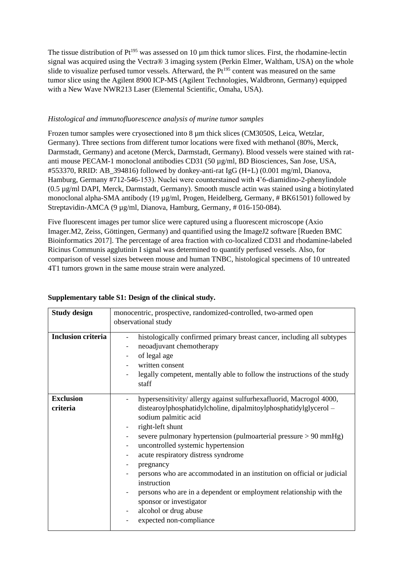The tissue distribution of  $Pt^{195}$  was assessed on 10  $\mu$ m thick tumor slices. First, the rhodamine-lectin signal was acquired using the Vectra® 3 imaging system (Perkin Elmer, Waltham, USA) on the whole slide to visualize perfused tumor vessels. Afterward, the  $Pt^{195}$  content was measured on the same tumor slice using the Agilent 8900 ICP-MS (Agilent Technologies, Waldbronn, Germany) equipped with a New Wave NWR213 Laser (Elemental Scientific, Omaha, USA).

### *Histological and immunofluorescence analysis of murine tumor samples*

Frozen tumor samples were cryosectioned into 8 µm thick slices (CM3050S, Leica, Wetzlar, Germany). Three sections from different tumor locations were fixed with methanol (80%, Merck, Darmstadt, Germany) and acetone (Merck, Darmstadt, Germany). Blood vessels were stained with ratanti mouse PECAM-1 monoclonal antibodies CD31 (50 µg/ml, BD Biosciences, San Jose, USA, #553370, RRID: AB\_394816) followed by donkey-anti-rat IgG (H+L) (0.001 mg/ml, Dianova, Hamburg, Germany #712-546-153). Nuclei were counterstained with 4'6-diamidino-2-phenylindole (0.5 µg/ml DAPI, Merck, Darmstadt, Germany). Smooth muscle actin was stained using a biotinylated monoclonal alpha-SMA antibody (19 µg/ml, Progen, Heidelberg, Germany, # BK61501) followed by Streptavidin-AMCA (9 µg/ml, Dianova, Hamburg, Germany, # 016-150-084).

Five fluorescent images per tumor slice were captured using a fluorescent microscope (Axio Imager.M2, Zeiss, Göttingen, Germany) and quantified using the ImageJ2 software [Rueden BMC Bioinformatics 2017]. The percentage of area fraction with co-localized CD31 and rhodamine-labeled Ricinus Communis agglutinin I signal was determined to quantify perfused vessels. Also, for comparison of vessel sizes between mouse and human TNBC, histological specimens of 10 untreated 4T1 tumors grown in the same mouse strain were analyzed.

| <b>Study design</b>          | monocentric, prospective, randomized-controlled, two-armed open                                                                                                                                                                                                                                                                                                                                                                                                                                                                                                                                               |  |  |  |  |  |  |  |
|------------------------------|---------------------------------------------------------------------------------------------------------------------------------------------------------------------------------------------------------------------------------------------------------------------------------------------------------------------------------------------------------------------------------------------------------------------------------------------------------------------------------------------------------------------------------------------------------------------------------------------------------------|--|--|--|--|--|--|--|
|                              | observational study                                                                                                                                                                                                                                                                                                                                                                                                                                                                                                                                                                                           |  |  |  |  |  |  |  |
| <b>Inclusion criteria</b>    | histologically confirmed primary breast cancer, including all subtypes<br>neoadjuvant chemotherapy<br>of legal age<br>$\overline{\phantom{a}}$<br>written consent<br>legally competent, mentally able to follow the instructions of the study<br>staff                                                                                                                                                                                                                                                                                                                                                        |  |  |  |  |  |  |  |
| <b>Exclusion</b><br>criteria | hypersensitivity/allergy against sulfurhexafluorid, Macrogol 4000,<br>distearoylphosphatidylcholine, dipalmitoylphosphatidylglycerol -<br>sodium palmitic acid<br>right-left shunt<br>-<br>severe pulmonary hypertension (pulmoarterial pressure > 90 mmHg)<br>-<br>uncontrolled systemic hypertension<br>-<br>acute respiratory distress syndrome<br>pregnancy<br>persons who are accommodated in an institution on official or judicial<br>instruction<br>persons who are in a dependent or employment relationship with the<br>sponsor or investigator<br>alcohol or drug abuse<br>expected non-compliance |  |  |  |  |  |  |  |

## **Supplementary table S1: Design of the clinical study.**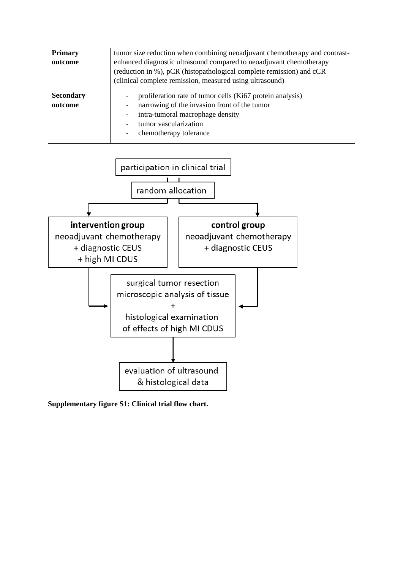| <b>Primary</b><br>outcome   | tumor size reduction when combining neoadjuvant chemotherapy and contrast-<br>enhanced diagnostic ultrasound compared to neoadjuvant chemotherapy<br>(reduction in %), pCR (histopathological complete remission) and cCR<br>(clinical complete remission, measured using ultrasound) |
|-----------------------------|---------------------------------------------------------------------------------------------------------------------------------------------------------------------------------------------------------------------------------------------------------------------------------------|
| <b>Secondary</b><br>outcome | proliferation rate of tumor cells (Ki67 protein analysis)<br>narrowing of the invasion front of the tumor<br>intra-tumoral macrophage density<br>tumor vascularization<br>chemotherapy tolerance                                                                                      |



**Supplementary figure S1: Clinical trial flow chart.**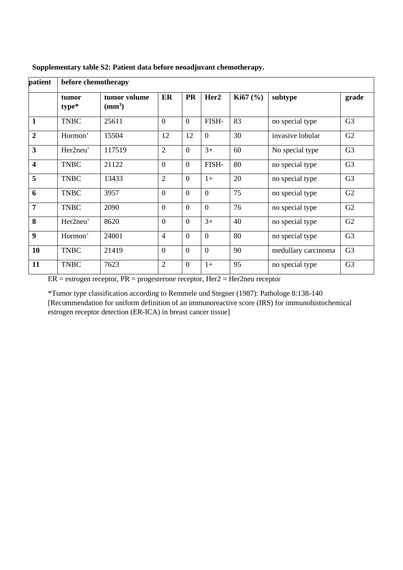| patient          | before chemotherapy  |                                  |                |                |                  |             |                     |                |  |
|------------------|----------------------|----------------------------------|----------------|----------------|------------------|-------------|---------------------|----------------|--|
|                  | tumor<br>type*       | tumor volume<br>$\text{ (mm}^3)$ | ER             | <b>PR</b>      | Her <sub>2</sub> | Ki $67$ (%) | subtype             | grade          |  |
| 1                | <b>TNBC</b>          | 25611                            | $\overline{0}$ | $\overline{0}$ | FISH-            | 83          | no special type     | G <sub>3</sub> |  |
| $\boldsymbol{2}$ | $Hormon+$            | 15504                            | 12             | 12             | $\overline{0}$   | 30          | invasive lobular    | G2             |  |
| 3                | Her2neu <sup>+</sup> | 117519                           | $\overline{2}$ | $\mathbf{0}$   | $3+$             | 60          | No special type     | G <sub>3</sub> |  |
| 4                | <b>TNBC</b>          | 21122                            | $\overline{0}$ | $\overline{0}$ | FISH-            | 80          | no special type     | G <sub>3</sub> |  |
| 5                | <b>TNBC</b>          | 13433                            | $\overline{2}$ | $\overline{0}$ | $1+$             | 20          | no special type     | G <sub>3</sub> |  |
| 6                | <b>TNBC</b>          | 3957                             | $\overline{0}$ | $\overline{0}$ | $\theta$         | 75          | no special type     | G2             |  |
| $\overline{7}$   | <b>TNBC</b>          | 2090                             | $\overline{0}$ | $\overline{0}$ | $\theta$         | 76          | no special type     | G2             |  |
| 8                | $Her2neu+$           | 8620                             | $\overline{0}$ | $\overline{0}$ | $3+$             | 40          | no special type     | G2             |  |
| 9                | Hormon <sup>+</sup>  | 24001                            | $\overline{4}$ | $\overline{0}$ | $\overline{0}$   | 80          | no special type     | G <sub>3</sub> |  |
| 10               | <b>TNBC</b>          | 21419                            | $\overline{0}$ | $\overline{0}$ | $\overline{0}$   | 90          | medullary carcinoma | G <sub>3</sub> |  |
| 11               | <b>TNBC</b>          | 7623                             | $\overline{2}$ | $\overline{0}$ | $1+$             | 95          | no special type     | G <sub>3</sub> |  |

**Supplementary table S2: Patient data before neoadjuvant chemotherapy.**

 $ER =$  estrogen receptor,  $PR =$  progesterone receptor,  $Her2 = Her2$ neu receptor

\*Tumor type classification according to Remmele und Stegner (1987): Pathologe 8:138-140 [Recommendation for uniform definition of an immunoreactive score (IRS) for immunohistochemical estrogen receptor detection (ER-ICA) in breast cancer tissue]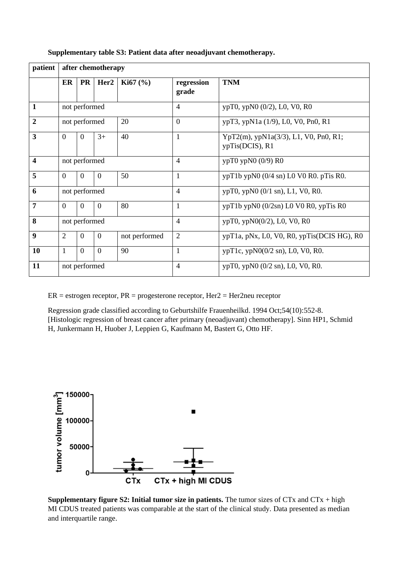| patient                 | after chemotherapy                               |               |                  |                                            |                     |                                                          |  |  |  |
|-------------------------|--------------------------------------------------|---------------|------------------|--------------------------------------------|---------------------|----------------------------------------------------------|--|--|--|
|                         | ER                                               | <b>PR</b>     | Her <sub>2</sub> | <b>Ki67</b> $(\% )$                        | regression<br>grade | <b>TNM</b>                                               |  |  |  |
| 1                       | not performed                                    |               |                  |                                            | $\overline{4}$      | ypT0, ypN0 (0/2), L0, V0, R0                             |  |  |  |
| $\overline{2}$          |                                                  | not performed |                  | 20                                         | $\overline{0}$      | ypT3, ypN1a (1/9), L0, V0, Pn0, R1                       |  |  |  |
| 3                       | $\Omega$                                         | $\Omega$      | $3+$             | 40                                         | 1                   | YpT2(m), ypN1a(3/3), L1, V0, Pn0, R1;<br>ypTis(DCIS), R1 |  |  |  |
| $\overline{\mathbf{4}}$ | not performed                                    |               |                  |                                            | $\overline{4}$      | ypT0 ypN0 (0/9) R0                                       |  |  |  |
| 5                       | $\Omega$                                         | $\Omega$      | 50<br>$\theta$   |                                            | 1                   | $ypT1b$ ypN0 (0/4 sn) L0 V0 R0. pTis R0.                 |  |  |  |
| 6                       | not performed                                    |               |                  |                                            | $\overline{4}$      | $ypT0$ , $ypN0$ (0/1 sn), L1, V0, R0.                    |  |  |  |
| $\overline{7}$          | $\Omega$                                         | $\Omega$      | $\Omega$         | 80                                         | $\mathbf{1}$        | ypT1b ypN0 (0/2sn) L0 V0 R0, ypTis R0                    |  |  |  |
| 8                       | not performed                                    |               |                  |                                            | $\overline{4}$      | ypT0, ypN0(0/2), L0, V0, R0                              |  |  |  |
| $\boldsymbol{9}$        | 2<br>$\overline{0}$<br>not performed<br>$\Omega$ |               | $\overline{2}$   | ypT1a, pNx, L0, V0, R0, ypTis(DCIS HG), R0 |                     |                                                          |  |  |  |
| <b>10</b>               | $\overline{1}$                                   | $\Omega$      | $\Omega$         | 90                                         | 1                   | ypT1c, ypN0(0/2 sn), L0, V0, R0.                         |  |  |  |
| 11                      | not performed                                    |               |                  |                                            | $\overline{4}$      | ypT0, ypN0 (0/2 sn), L0, V0, R0.                         |  |  |  |

#### **Supplementary table S3: Patient data after neoadjuvant chemotherapy.**

 $ER =$  estrogen receptor,  $PR =$  progesterone receptor,  $Her2 = Her2$ neu receptor

Regression grade classified according to Geburtshilfe Frauenheilkd. 1994 Oct;54(10):552-8. [Histologic regression of breast cancer after primary (neoadjuvant) chemotherapy]. Sinn HP1, Schmid H, Junkermann H, Huober J, Leppien G, Kaufmann M, Bastert G, Otto HF.



**Supplementary figure S2: Initial tumor size in patients.** The tumor sizes of CTx and CTx + high MI CDUS treated patients was comparable at the start of the clinical study. Data presented as median and interquartile range.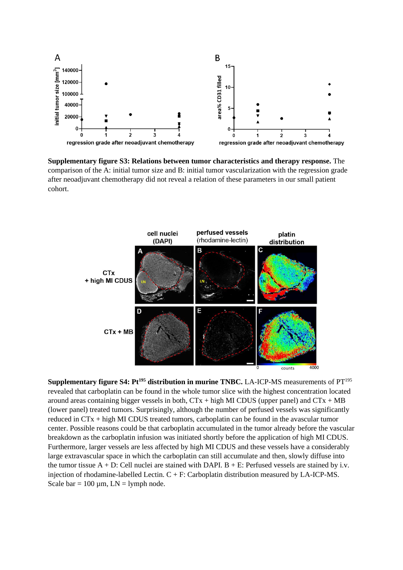

**Supplementary figure S3: Relations between tumor characteristics and therapy response.** The comparison of the A: initial tumor size and B: initial tumor vascularization with the regression grade after neoadjuvant chemotherapy did not reveal a relation of these parameters in our small patient cohort.



**Supplementary figure S4: Pt<sup>195</sup> distribution in murine TNBC.** LA-ICP-MS measurements of PT<sup>195</sup> revealed that carboplatin can be found in the whole tumor slice with the highest concentration located around areas containing bigger vessels in both,  $CTx + high MI CDUS$  (upper panel) and  $CTx + MB$ (lower panel) treated tumors. Surprisingly, although the number of perfused vessels was significantly reduced in CTx + high MI CDUS treated tumors, carboplatin can be found in the avascular tumor center. Possible reasons could be that carboplatin accumulated in the tumor already before the vascular breakdown as the carboplatin infusion was initiated shortly before the application of high MI CDUS. Furthermore, larger vessels are less affected by high MI CDUS and these vessels have a considerably large extravascular space in which the carboplatin can still accumulate and then, slowly diffuse into the tumor tissue  $A + D$ : Cell nuclei are stained with DAPI.  $B + E$ : Perfused vessels are stained by i.v. injection of rhodamine-labelled Lectin. C + F: Carboplatin distribution measured by LA-ICP-MS. Scale bar =  $100 \mu m$ , LN = lymph node.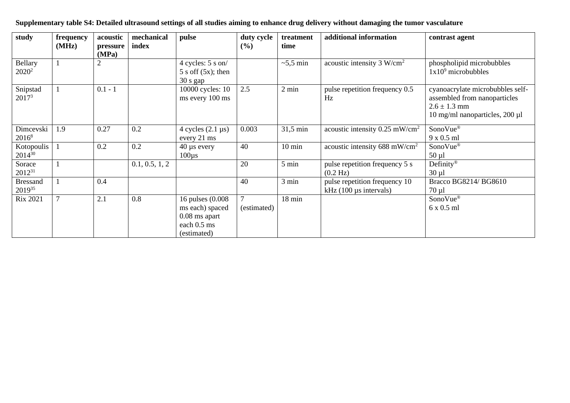| study                         | frequency<br>(MHz) | acoustic<br>pressure<br>(MPa) | mechanical<br>index | pulse                                                                                 | duty cycle<br>(%) | treatment<br>time | additional information                                                 | contrast agent                                                                                                         |
|-------------------------------|--------------------|-------------------------------|---------------------|---------------------------------------------------------------------------------------|-------------------|-------------------|------------------------------------------------------------------------|------------------------------------------------------------------------------------------------------------------------|
| Bellary<br>$2020^2$           |                    |                               |                     | 4 cycles: 5 s on/<br>$5 s$ off $(5x)$ ; then<br>30 s gap                              |                   | $\sim$ 5,5 min    | acoustic intensity $3 W/cm2$                                           | phospholipid microbubbles<br>$1x109$ microbubbles                                                                      |
| Snipstad<br>2017 <sup>3</sup> |                    | $0.1 - 1$                     |                     | 10000 cycles: 10<br>ms every 100 ms                                                   | 2.5               | $2 \text{ min}$   | pulse repetition frequency 0.5<br>Hz                                   | cyanoacrylate microbubbles self-<br>assembled from nanoparticles<br>$2.6 \pm 1.3$ mm<br>10 mg/ml nanoparticles, 200 µl |
| Dimcevski<br>$2016^8$         | 1.9                | 0.27                          | 0.2                 | 4 cycles $(2.1 \,\mu s)$<br>every 21 ms                                               | 0.003             | 31,5 min          | acoustic intensity $0.25$ mW/cm <sup>2</sup>                           | SonoVue®<br>9 x 0.5 ml                                                                                                 |
| Kotopoulis<br>$2014^{30}$     |                    | 0.2                           | 0.2                 | $40 \mu s$ every<br>$100\mu s$                                                        | 40                | $10 \text{ min}$  | acoustic intensity 688 mW/cm <sup>2</sup>                              | SonoVue®<br>$50 \mu l$                                                                                                 |
| Sorace<br>$2012^{31}$         |                    |                               | 0.1, 0.5, 1, 2      |                                                                                       | 20                | 5 min             | pulse repetition frequency 5 s<br>$(0.2 \text{ Hz})$                   | Definity <sup>®</sup><br>$30 \mu l$                                                                                    |
| <b>Bressand</b><br>201935     |                    | 0.4                           |                     |                                                                                       | 40                | 3 min             | pulse repetition frequency 10<br>kHz $(100 \,\mu s \text{ intervals})$ | Bracco BG8214/ BG8610<br>$70 \mu l$                                                                                    |
| <b>Rix 2021</b>               | $\mathcal{I}$      | 2.1                           | 0.8                 | 16 pulses (0.008)<br>ms each) spaced<br>$0.08$ ms apart<br>each 0.5 ms<br>(estimated) | (estimated)       | 18 min            |                                                                        | SonoVue®<br>6 x 0.5 ml                                                                                                 |

# **Supplementary table S4: Detailed ultrasound settings of all studies aiming to enhance drug delivery without damaging the tumor vasculature**